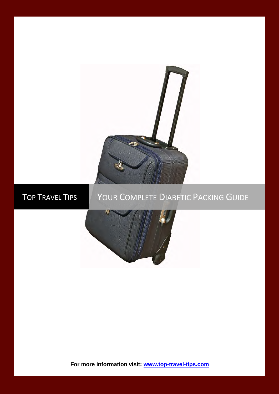

# TOP TRAVEL TIPS YOUR COMPLETE DIABETIC PACKING GUIDE



**For more information visit: [www.top-travel-tips.com](http://www.top-travel-tips.com/index.html)**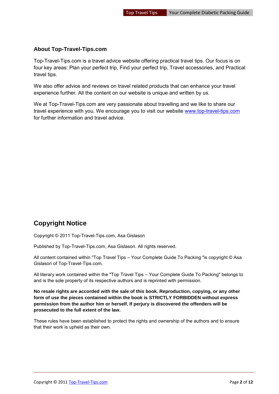#### **About Top-Travel-Tips.com**

Top-Travel-Tips.com is a travel advice website offering practical travel tips. Our focus is on four key areas: Plan your perfect trip, Find your perfect trip, Travel accessories, and Practical travel tips.

We also offer advice and reviews on travel related products that can enhance your travel experience further. All the content on our website is unique and written by us.

We at Top-Travel-Tips.com are very passionate about travelling and we like to share our travel experience with you. We encourage you to visit our website [www.top-travel-tips.com](http://www.top-travel-tips.com/index.html) for further information and travel advice.

### **Copyright Notice**

Copyright © 2011 Top-Travel-Tips.com, Asa Gislason

Published by Top-Travel-Tips.com, Asa Gislason. All rights reserved.

All content contained within "Top Travel Tips – Your Complete Guide To Packing "is copyright © Asa Gislason of Top-Travel-Tips.com.

All literary work contained within the "Top Travel Tips – Your Complete Guide To Packing" belongs to and is the sole property of its respective authors and is reprinted with permission.

**No resale rights are accorded with the sale of this book. Reproduction, copying, or any other form of use the pieces contained within the book is STRICTLY FORBIDDEN without express permission from the author him or herself. If perjury is discovered the offenders will be prosecuted to the full extent of the law.** 

These rules have been established to protect the rights and ownership of the authors and to ensure that their work is upheld as their own.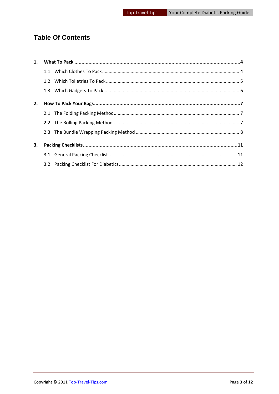### **Table Of Contents**

| 2. |  |
|----|--|
|    |  |
|    |  |
|    |  |
| 3. |  |
|    |  |
|    |  |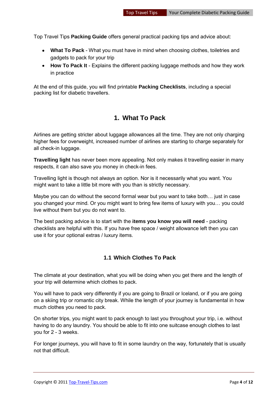Top Travel Tips **Packing Guide** offers general practical packing tips and advice about:

- **What To Pack** What you must have in mind when choosing clothes, toiletries and gadgets to pack for your trip
- **How To Pack It** Explains the different packing luggage methods and how they work in practice

At the end of this guide, you will find printable **Packing Checklists**, including a special packing list for diabetic travellers.

### **1. What To Pack**

<span id="page-3-0"></span>Airlines are getting stricter about luggage allowances all the time. They are not only charging higher fees for overweight, increased number of airlines are starting to charge separately for all check-in luggage.

**Travelling light** has never been more appealing. Not only makes it travelling easier in many respects, it can also save you money in check-in fees.

Travelling light is though not always an option. Nor is it necessarily what you want. You might want to take a little bit more with you than is strictly necessary.

Maybe you can do without the second formal wear but you want to take both… just in case you changed your mind. Or you might want to bring few items of luxury with you… you could live without them but you do not want to.

The best packing advice is to start with the **items you know you will need** - packing checklists are helpful with this. If you have free space / weight allowance left then you can use it for your optional extras / luxury items.

#### <span id="page-3-1"></span>**1.1 Which Clothes To Pack**

The climate at your destination, what you will be doing when you get there and the length of your trip will determine which clothes to pack.

You will have to pack very differently if you are going to Brazil or Iceland, or if you are going on a skiing trip or romantic city break. While the length of your journey is fundamental in how much clothes you need to pack.

On shorter trips, you might want to pack enough to last you throughout your trip, i.e. without having to do any laundry. You should be able to fit into one suitcase enough clothes to last you for 2 - 3 weeks.

For longer journeys, you will have to fit in some laundry on the way, fortunately that is usually not that difficult.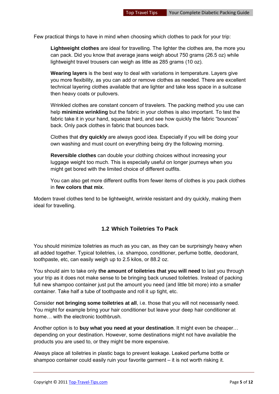Few practical things to have in mind when choosing which clothes to pack for your trip:

**Lightweight clothes** are ideal for travelling. The lighter the clothes are, the more you can pack. Did you know that average jeans weigh about 750 grams (26.5 oz) while lightweight travel trousers can weigh as little as 285 grams (10 oz).

**Wearing layers** is the best way to deal with variations in temperature. Layers give you more flexibility, as you can add or remove clothes as needed. There are excellent technical layering clothes available that are lighter and take less space in a suitcase then heavy coats or pullovers.

Wrinkled clothes are constant concern of travelers. The packing method you use can help **minimize wrinkling** but the fabric in your clothes is also important. To test the fabric take it in your hand, squeeze hard, and see how quickly the fabric "bounces" back. Only pack clothes in fabric that bounces back.

Clothes that **dry quickly** are always good idea. Especially if you will be doing your own washing and must count on everything being dry the following morning.

**Reversible clothes** can double your clothing choices without increasing your luggage weight too much. This is especially useful on longer journeys when you might get bored with the limited choice of different outfits.

You can also get more different outfits from fewer items of clothes is you pack clothes in **few colors that mix**.

Modern travel clothes tend to be lightweight, wrinkle resistant and dry quickly, making them ideal for travelling.

#### <span id="page-4-0"></span>**1.2 Which Toiletries To Pack**

You should minimize toiletries as much as you can, as they can be surprisingly heavy when all added together. Typical toiletries, i.e. shampoo, conditioner, perfume bottle, deodorant, toothpaste, etc, can easily weigh up to 2.5 kilos, or 88.2 oz.

You should aim to take only **the amount of toiletries that you will need** to last you through your trip as it does not make sense to be bringing back unused toiletries. Instead of packing full new shampoo container just put the amount you need (and little bit more) into a smaller container. Take half a tube of toothpaste and roll it up tight, etc.

Consider **not bringing some toiletries at all**, i.e. those that you will not necessarily need. You might for example bring your hair conditioner but leave your deep hair conditioner at home… with the electronic toothbrush.

Another option is to **buy what you need at your destination**. It might even be cheaper… depending on your destination. However, some destinations might not have available the products you are used to, or they might be more expensive.

Always place all toiletries in plastic bags to prevent leakage. Leaked perfume bottle or shampoo container could easily ruin your favorite garment – it is not worth risking it.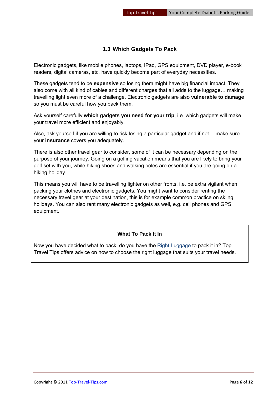#### <span id="page-5-0"></span>**1.3 Which Gadgets To Pack**

Electronic gadgets, like mobile phones, laptops, IPad, GPS equipment, DVD player, e-book readers, digital cameras, etc, have quickly become part of everyday necessities.

These gadgets tend to be **expensive** so losing them might have big financial impact. They also come with all kind of cables and different charges that all adds to the luggage… making travelling light even more of a challenge. Electronic gadgets are also **vulnerable to damage** so you must be careful how you pack them.

Ask yourself carefully **which gadgets you need for your trip**, i.e. which gadgets will make your travel more efficient and enjoyably.

Also, ask yourself if you are willing to risk losing a particular gadget and if not… make sure your **insurance** covers you adequately.

There is also other travel gear to consider, some of it can be necessary depending on the purpose of your journey. Going on a golfing vacation means that you are likely to bring your golf set with you, while hiking shoes and walking poles are essential if you are going on a hiking holiday.

This means you will have to be travelling lighter on other fronts, i.e. be extra vigilant when packing your clothes and electronic gadgets. You might want to consider renting the necessary travel gear at your destination, this is for example common practice on skiing holidays. You can also rent many electronic gadgets as well, e.g. cell phones and GPS equipment.

#### **What To Pack It In**

Now you have decided what to pack, do you have the [Right Luggage](http://www.top-travel-tips.com/international-traveler-luggage.html) to pack it in? Top Travel Tips offers advice on how to choose the right luggage that suits your travel needs.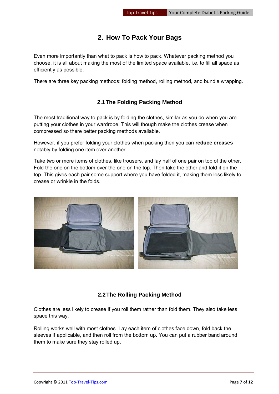### **2. How To Pack Your Bags**

<span id="page-6-0"></span>Even more importantly than what to pack is how to pack. Whatever packing method you choose, it is all about making the most of the limited space available, i.e. to fill all space as efficiently as possible.

There are three key packing methods: folding method, rolling method, and bundle wrapping.

#### **2.1 The Folding Packing Method**

<span id="page-6-1"></span>The most traditional way to pack is by folding the clothes, similar as you do when you are putting your clothes in your wardrobe. This will though make the clothes crease when compressed so there better packing methods available.

However, if you prefer folding your clothes when packing then you can **reduce creases** notably by folding one item over another.

Take two or more items of clothes, like trousers, and lay half of one pair on top of the other. Fold the one on the bottom over the one on the top. Then take the other and fold it on the top. This gives each pair some support where you have folded it, making them less likely to crease or wrinkle in the folds.



#### **2.2 The Rolling Packing Method**

<span id="page-6-2"></span>Clothes are less likely to crease if you roll them rather than fold them. They also take less space this way.

Rolling works well with most clothes. Lay each item of clothes face down, fold back the sleeves if applicable, and then roll from the bottom up. You can put a rubber band around them to make sure they stay rolled up.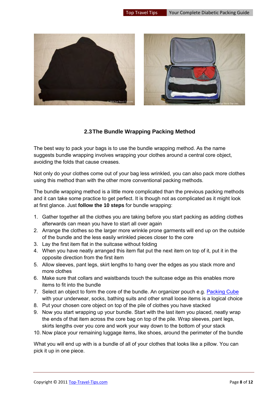

#### **2.3 The Bundle Wrapping Packing Method**

<span id="page-7-0"></span>The best way to pack your bags is to use the bundle wrapping method. As the name suggests bundle wrapping involves wrapping your clothes around a central core object, avoiding the folds that cause creases.

Not only do your clothes come out of your bag less wrinkled, you can also pack more clothes using this method than with the other more conventional packing methods.

The bundle wrapping method is a little more complicated than the previous packing methods and it can take some practice to get perfect. It is though not as complicated as it might look at first glance. Just **follow the 10 steps** for bundle wrapping:

- 1. Gather together all the clothes you are taking before you start packing as adding clothes afterwards can mean you have to start all over again
- 2. Arrange the clothes so the larger more wrinkle prone garments will end up on the outside of the bundle and the less easily wrinkled pieces closer to the core
- 3. Lay the first item flat in the suitcase without folding
- 4. When you have neatly arranged this item flat put the next item on top of it, put it in the opposite direction from the first item
- 5. Allow sleeves, pant legs, skirt lengths to hang over the edges as you stack more and more clothes
- 6. Make sure that collars and waistbands touch the suitcase edge as this enables more items to fit into the bundle
- 7. Select an object to form the core of the bundle. An organizer pouch e.g. [Packing Cube](http://www.top-travel-tips.com/packing-cubes.html) with your underwear, socks, bathing suits and other small loose items is a logical choice
- 8. Put your chosen core object on top of the pile of clothes you have stacked
- 9. Now you start wrapping up your bundle. Start with the last item you placed, neatly wrap the ends of that item across the core bag on top of the pile. Wrap sleeves, pant legs, skirts lengths over you core and work your way down to the bottom of your stack
- 10. Now place your remaining luggage items, like shoes, around the perimeter of the bundle

What you will end up with is a bundle of all of your clothes that looks like a pillow. You can pick it up in one piece.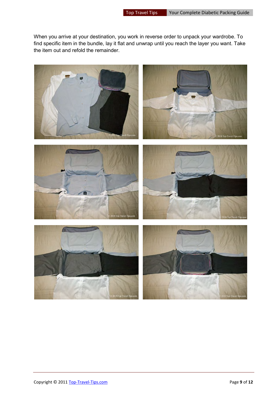When you arrive at your destination, you work in reverse order to unpack your wardrobe. To find specific item in the bundle, lay it flat and unwrap until you reach the layer you want. Take the item out and refold the remainder.

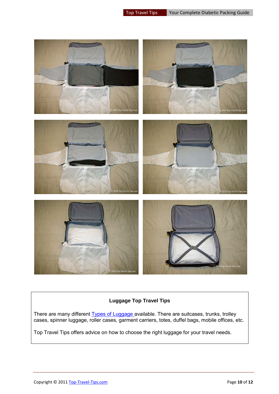

#### **Luggage Top Travel Tips**

There are many different [Types of Luggage](http://www.top-travel-tips.com/cabin-luggage.html) available. There are suitcases, trunks, trolley cases, spinner luggage, roller cases, garment carriers, totes, duffel bags, mobile offices, etc.

Top Travel Tips offers advice on how to choose the right luggage for your travel needs.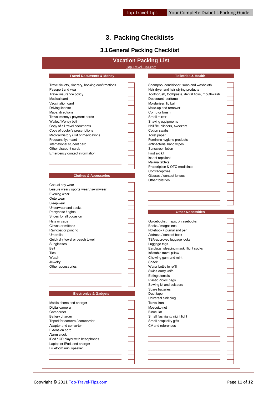## **3. Packing Checklists**

### **3.1 General Packing Checklist**

<span id="page-10-1"></span><span id="page-10-0"></span>

|                                                   |                     | <b>Vacation Packing List</b>                    |  |
|---------------------------------------------------|---------------------|-------------------------------------------------|--|
|                                                   | Top-Travel-Tips.com |                                                 |  |
| <b>Travel Documents &amp; Money</b>               |                     | <b>Toiletries &amp; Health</b>                  |  |
| Travel tickets, itinerary, booking confirmations  |                     | Shampoo, conditioner, soap and washcloth        |  |
| Passport and visa                                 |                     | Hair dryer and hair styling products            |  |
| Travel insurance policy                           |                     | Toothbrush, toothpaste, dental floss, mouthwash |  |
| Medical card                                      |                     | Deodorant, perfume                              |  |
| Vaccination card                                  |                     | Moisturizer, lip balm                           |  |
| Driving license                                   |                     | Make-up and remover                             |  |
| Maps, directions                                  |                     | Comb or brush                                   |  |
| Travel money / payment cards                      |                     | Small mirror                                    |  |
| Wallet / Money belt                               |                     | Shaving equipments                              |  |
| Copy of all travel documents                      |                     | Nail file, clippers, tweezers                   |  |
| Copy of doctor's prescriptions                    |                     | Cotton swabs                                    |  |
| Medical history / list of medications             |                     | Toilet paper                                    |  |
| Frequent flyer card<br>International student card |                     | Feminine hygiene products                       |  |
| Other discount cards                              |                     | Antibacterial hand wipes<br>Sunscreen lotion    |  |
|                                                   |                     | First aid kit                                   |  |
| Emergency contact information                     |                     | Insect repellent                                |  |
|                                                   |                     | Malaria tablets                                 |  |
|                                                   |                     | Prescription & OTC medicines                    |  |
|                                                   |                     | Contraceptives                                  |  |
| <b>Clothes &amp; Accessories</b>                  |                     | Glasses / contact lenses                        |  |
|                                                   |                     | Other toiletries                                |  |
| Casual day wear                                   |                     |                                                 |  |
| Leisure wear / sports wear / swimwear             |                     |                                                 |  |
| Evening wear                                      |                     |                                                 |  |
| Outerwear                                         |                     |                                                 |  |
| Sleepwear                                         |                     |                                                 |  |
| Underwear and socks                               |                     |                                                 |  |
| Pantyhose / tights                                |                     | <b>Other Necessities</b>                        |  |
| Shoes for all occasion                            |                     |                                                 |  |
| Hats or caps                                      |                     | Guidebooks, maps, phrasebooks                   |  |
| Gloves or mittens                                 |                     | Books / magazines                               |  |
| Raincoat or poncho                                |                     | Notebook / journal and pen                      |  |
| Umbrella                                          |                     | Address / contact book                          |  |
| Quick dry towel or beach towel                    |                     | TSA-approved luggage locks                      |  |
| Sunglasses                                        |                     | Luggage tags                                    |  |
| Belt                                              |                     | Earplugs, sleeping mask, flight socks           |  |
| Ties                                              |                     | Inflatable travel pillow                        |  |
| Watch                                             |                     | Chewing gum and mint                            |  |
| Jewelry                                           |                     | Snack                                           |  |
| Other accessories                                 |                     | Water bottle to refill                          |  |
|                                                   |                     | Swiss army knife                                |  |
|                                                   |                     | Eating utensils                                 |  |
|                                                   |                     | Plastic Ziploc bags                             |  |
|                                                   |                     | Sewing kit and scissors                         |  |
|                                                   |                     | Spare batteries<br>Duct tape                    |  |
| <b>Electronics &amp; Gadgets</b>                  |                     | Universal sink plug                             |  |
| Mobile phone and charger                          |                     | Travel iron                                     |  |
| Digital camera                                    |                     | Mosquito net                                    |  |
| Camcorder                                         |                     | <b>Binocular</b>                                |  |
| Battery charger                                   |                     | Small flashlight / night light                  |  |
| Tripod for camera / camcorder                     |                     | Small hospitality gifts                         |  |
| Adaptor and converter                             |                     | CV and references                               |  |
| <b>Extension cord</b>                             |                     |                                                 |  |
| Alarm clock                                       |                     |                                                 |  |
| iPod / CD player with headphones                  |                     |                                                 |  |
| Laptop or iPad, and charger                       |                     |                                                 |  |
| Bluetooth mini speaker                            |                     |                                                 |  |
|                                                   |                     |                                                 |  |
|                                                   |                     |                                                 |  |
|                                                   |                     |                                                 |  |
|                                                   |                     |                                                 |  |